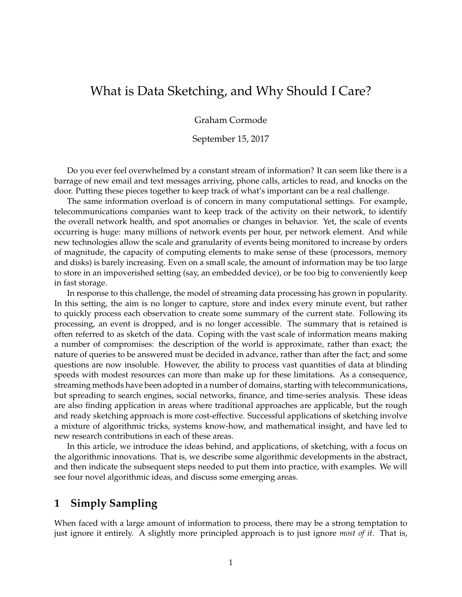# What is Data Sketching, and Why Should I Care?

Graham Cormode

September 15, 2017

Do you ever feel overwhelmed by a constant stream of information? It can seem like there is a barrage of new email and text messages arriving, phone calls, articles to read, and knocks on the door. Putting these pieces together to keep track of what's important can be a real challenge.

The same information overload is of concern in many computational settings. For example, telecommunications companies want to keep track of the activity on their network, to identify the overall network health, and spot anomalies or changes in behavior. Yet, the scale of events occurring is huge: many millions of network events per hour, per network element. And while new technologies allow the scale and granularity of events being monitored to increase by orders of magnitude, the capacity of computing elements to make sense of these (processors, memory and disks) is barely increasing. Even on a small scale, the amount of information may be too large to store in an impoverished setting (say, an embedded device), or be too big to conveniently keep in fast storage.

In response to this challenge, the model of streaming data processing has grown in popularity. In this setting, the aim is no longer to capture, store and index every minute event, but rather to quickly process each observation to create some summary of the current state. Following its processing, an event is dropped, and is no longer accessible. The summary that is retained is often referred to as sketch of the data. Coping with the vast scale of information means making a number of compromises: the description of the world is approximate, rather than exact; the nature of queries to be answered must be decided in advance, rather than after the fact; and some questions are now insoluble. However, the ability to process vast quantities of data at blinding speeds with modest resources can more than make up for these limitations. As a consequence, streaming methods have been adopted in a number of domains, starting with telecommunications, but spreading to search engines, social networks, finance, and time-series analysis. These ideas are also finding application in areas where traditional approaches are applicable, but the rough and ready sketching approach is more cost-effective. Successful applications of sketching involve a mixture of algorithmic tricks, systems know-how, and mathematical insight, and have led to new research contributions in each of these areas.

In this article, we introduce the ideas behind, and applications, of sketching, with a focus on the algorithmic innovations. That is, we describe some algorithmic developments in the abstract, and then indicate the subsequent steps needed to put them into practice, with examples. We will see four novel algorithmic ideas, and discuss some emerging areas.

## **1 Simply Sampling**

When faced with a large amount of information to process, there may be a strong temptation to just ignore it entirely. A slightly more principled approach is to just ignore *most of it*. That is,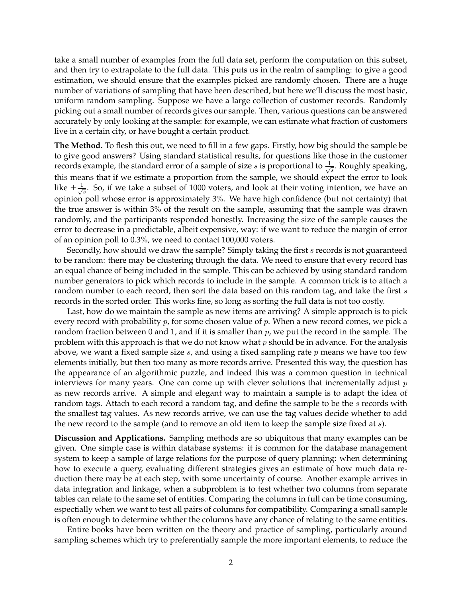take a small number of examples from the full data set, perform the computation on this subset, and then try to extrapolate to the full data. This puts us in the realm of sampling: to give a good estimation, we should ensure that the examples picked are randomly chosen. There are a huge number of variations of sampling that have been described, but here we'll discuss the most basic, uniform random sampling. Suppose we have a large collection of customer records. Randomly picking out a small number of records gives our sample. Then, various questions can be answered accurately by only looking at the sample: for example, we can estimate what fraction of customers live in a certain city, or have bought a certain product.

**The Method.** To flesh this out, we need to fill in a few gaps. Firstly, how big should the sample be to give good answers? Using standard statistical results, for questions like those in the customer records example, the standard error of a sample of size s is proportional to  $\frac{1}{\sqrt{2}}$  $\frac{1}{s}$ . Roughly speaking, this means that if we estimate a proportion from the sample, we should expect the error to look like  $\pm \frac{1}{\sqrt{2}}$  $\frac{1}{s}$ . So, if we take a subset of 1000 voters, and look at their voting intention, we have an opinion poll whose error is approximately 3%. We have high confidence (but not certainty) that the true answer is within 3% of the result on the sample, assuming that the sample was drawn randomly, and the participants responded honestly. Increasing the size of the sample causes the error to decrease in a predictable, albeit expensive, way: if we want to reduce the margin of error of an opinion poll to 0.3%, we need to contact 100,000 voters.

Secondly, how should we draw the sample? Simply taking the first s records is not guaranteed to be random: there may be clustering through the data. We need to ensure that every record has an equal chance of being included in the sample. This can be achieved by using standard random number generators to pick which records to include in the sample. A common trick is to attach a random number to each record, then sort the data based on this random tag, and take the first s records in the sorted order. This works fine, so long as sorting the full data is not too costly.

Last, how do we maintain the sample as new items are arriving? A simple approach is to pick every record with probability  $p$ , for some chosen value of  $p$ . When a new record comes, we pick a random fraction between 0 and 1, and if it is smaller than  $p$ , we put the record in the sample. The problem with this approach is that we do not know what  $p$  should be in advance. For the analysis above, we want a fixed sample size  $s$ , and using a fixed sampling rate  $p$  means we have too few elements initially, but then too many as more records arrive. Presented this way, the question has the appearance of an algorithmic puzzle, and indeed this was a common question in technical interviews for many years. One can come up with clever solutions that incrementally adjust  $p$ as new records arrive. A simple and elegant way to maintain a sample is to adapt the idea of random tags. Attach to each record a random tag, and define the sample to be the s records with the smallest tag values. As new records arrive, we can use the tag values decide whether to add the new record to the sample (and to remove an old item to keep the sample size fixed at s).

**Discussion and Applications.** Sampling methods are so ubiquitous that many examples can be given. One simple case is within database systems: it is common for the database management system to keep a sample of large relations for the purpose of query planning: when determining how to execute a query, evaluating different strategies gives an estimate of how much data reduction there may be at each step, with some uncertainty of course. Another example arrives in data integration and linkage, when a subproblem is to test whether two columns from separate tables can relate to the same set of entities. Comparing the columns in full can be time consuming, espectially when we want to test all pairs of columns for compatibility. Comparing a small sample is often enough to determine whther the columns have any chance of relating to the same entities.

Entire books have been written on the theory and practice of sampling, particularly around sampling schemes which try to preferentially sample the more important elements, to reduce the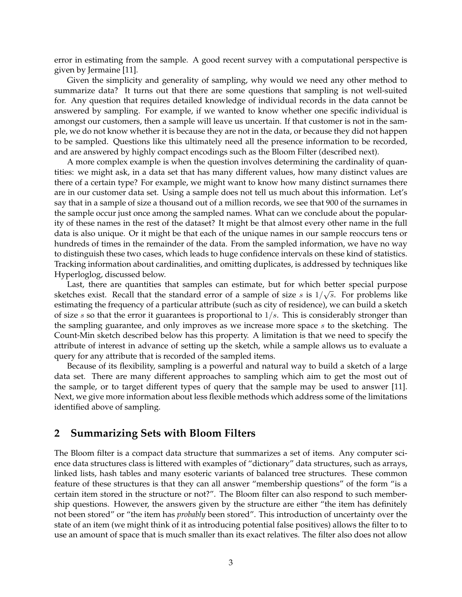error in estimating from the sample. A good recent survey with a computational perspective is given by Jermaine [11].

Given the simplicity and generality of sampling, why would we need any other method to summarize data? It turns out that there are some questions that sampling is not well-suited for. Any question that requires detailed knowledge of individual records in the data cannot be answered by sampling. For example, if we wanted to know whether one specific individual is amongst our customers, then a sample will leave us uncertain. If that customer is not in the sample, we do not know whether it is because they are not in the data, or because they did not happen to be sampled. Questions like this ultimately need all the presence information to be recorded, and are answered by highly compact encodings such as the Bloom Filter (described next).

A more complex example is when the question involves determining the cardinality of quantities: we might ask, in a data set that has many different values, how many distinct values are there of a certain type? For example, we might want to know how many distinct surnames there are in our customer data set. Using a sample does not tell us much about this information. Let's say that in a sample of size a thousand out of a million records, we see that 900 of the surnames in the sample occur just once among the sampled names. What can we conclude about the popularity of these names in the rest of the dataset? It might be that almost every other name in the full data is also unique. Or it might be that each of the unique names in our sample reoccurs tens or hundreds of times in the remainder of the data. From the sampled information, we have no way to distinguish these two cases, which leads to huge confidence intervals on these kind of statistics. Tracking information about cardinalities, and omitting duplicates, is addressed by techniques like Hyperloglog, discussed below.

Last, there are quantities that samples can estimate, but for which better special purpose sketches exist. Recall that the standard error of a sample of size  $s$  is  $1/\sqrt{s}$ . For problems like estimating the frequency of a particular attribute (such as city of residence), we can build a sketch of size s so that the error it guarantees is proportional to  $1/s$ . This is considerably stronger than the sampling guarantee, and only improves as we increase more space s to the sketching. The Count-Min sketch described below has this property. A limitation is that we need to specify the attribute of interest in advance of setting up the sketch, while a sample allows us to evaluate a query for any attribute that is recorded of the sampled items.

Because of its flexibility, sampling is a powerful and natural way to build a sketch of a large data set. There are many different approaches to sampling which aim to get the most out of the sample, or to target different types of query that the sample may be used to answer [11]. Next, we give more information about less flexible methods which address some of the limitations identified above of sampling.

### **2 Summarizing Sets with Bloom Filters**

The Bloom filter is a compact data structure that summarizes a set of items. Any computer science data structures class is littered with examples of "dictionary" data structures, such as arrays, linked lists, hash tables and many esoteric variants of balanced tree structures. These common feature of these structures is that they can all answer "membership questions" of the form "is a certain item stored in the structure or not?". The Bloom filter can also respond to such membership questions. However, the answers given by the structure are either "the item has definitely not been stored" or "the item has *probably* been stored". This introduction of uncertainty over the state of an item (we might think of it as introducing potential false positives) allows the filter to to use an amount of space that is much smaller than its exact relatives. The filter also does not allow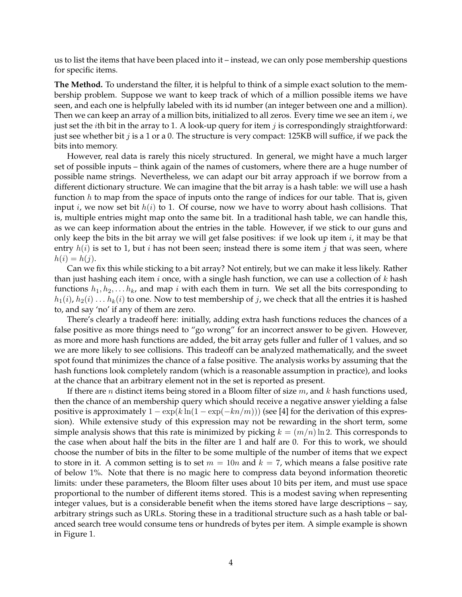us to list the items that have been placed into it – instead, we can only pose membership questions for specific items.

**The Method.** To understand the filter, it is helpful to think of a simple exact solution to the membership problem. Suppose we want to keep track of which of a million possible items we have seen, and each one is helpfully labeled with its id number (an integer between one and a million). Then we can keep an array of a million bits, initialized to all zeros. Every time we see an item  $i$ , we just set the *i*th bit in the array to 1. A look-up query for item  $j$  is correspondingly straightforward: just see whether bit  $j$  is a 1 or a 0. The structure is very compact: 125KB will suffice, if we pack the bits into memory.

However, real data is rarely this nicely structured. In general, we might have a much larger set of possible inputs – think again of the names of customers, where there are a huge number of possible name strings. Nevertheless, we can adapt our bit array approach if we borrow from a different dictionary structure. We can imagine that the bit array is a hash table: we will use a hash function  $h$  to map from the space of inputs onto the range of indices for our table. That is, given input *i*, we now set bit  $h(i)$  to 1. Of course, now we have to worry about hash collisions. That is, multiple entries might map onto the same bit. In a traditional hash table, we can handle this, as we can keep information about the entries in the table. However, if we stick to our guns and only keep the bits in the bit array we will get false positives: if we look up item  $i$ , it may be that entry  $h(i)$  is set to 1, but *i* has not been seen; instead there is some item *j* that was seen, where  $h(i) = h(j).$ 

Can we fix this while sticking to a bit array? Not entirely, but we can make it less likely. Rather than just hashing each item  $i$  once, with a single hash function, we can use a collection of  $k$  hash functions  $h_1, h_2, \ldots, h_k$ , and map i with each them in turn. We set all the bits corresponding to  $h_1(i)$ ,  $h_2(i)$  . . .  $h_k(i)$  to one. Now to test membership of j, we check that all the entries it is hashed to, and say 'no' if any of them are zero.

There's clearly a tradeoff here: initially, adding extra hash functions reduces the chances of a false positive as more things need to "go wrong" for an incorrect answer to be given. However, as more and more hash functions are added, the bit array gets fuller and fuller of 1 values, and so we are more likely to see collisions. This tradeoff can be analyzed mathematically, and the sweet spot found that minimizes the chance of a false positive. The analysis works by assuming that the hash functions look completely random (which is a reasonable assumption in practice), and looks at the chance that an arbitrary element not in the set is reported as present.

If there are *n* distinct items being stored in a Bloom filter of size  $m$ , and  $k$  hash functions used, then the chance of an membership query which should receive a negative answer yielding a false positive is approximately  $1 - \exp(k \ln(1 - \exp(-kn/m)))$  (see [4] for the derivation of this expression). While extensive study of this expression may not be rewarding in the short term, some simple analysis shows that this rate is minimized by picking  $k = (m/n) \ln 2$ . This corresponds to the case when about half the bits in the filter are 1 and half are 0. For this to work, we should choose the number of bits in the filter to be some multiple of the number of items that we expect to store in it. A common setting is to set  $m = 10n$  and  $k = 7$ , which means a false positive rate of below 1%. Note that there is no magic here to compress data beyond information theoretic limits: under these parameters, the Bloom filter uses about 10 bits per item, and must use space proportional to the number of different items stored. This is a modest saving when representing integer values, but is a considerable benefit when the items stored have large descriptions – say, arbitrary strings such as URLs. Storing these in a traditional structure such as a hash table or balanced search tree would consume tens or hundreds of bytes per item. A simple example is shown in Figure 1.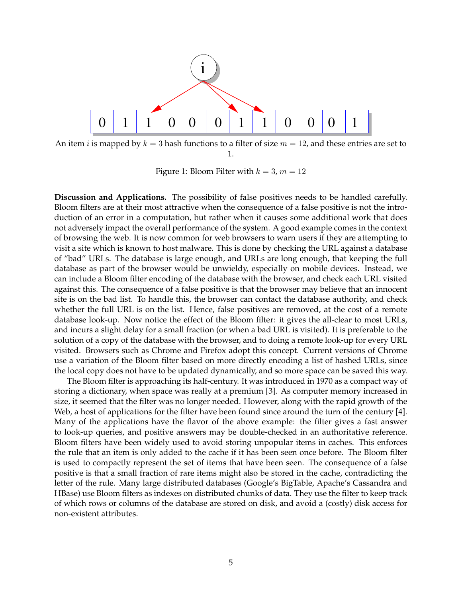

An item *i* is mapped by  $k = 3$  hash functions to a filter of size  $m = 12$ , and these entries are set to 1.

Figure 1: Bloom Filter with  $k = 3$ ,  $m = 12$ 

**Discussion and Applications.** The possibility of false positives needs to be handled carefully. Bloom filters are at their most attractive when the consequence of a false positive is not the introduction of an error in a computation, but rather when it causes some additional work that does not adversely impact the overall performance of the system. A good example comes in the context of browsing the web. It is now common for web browsers to warn users if they are attempting to visit a site which is known to host malware. This is done by checking the URL against a database of "bad" URLs. The database is large enough, and URLs are long enough, that keeping the full database as part of the browser would be unwieldy, especially on mobile devices. Instead, we can include a Bloom filter encoding of the database with the browser, and check each URL visited against this. The consequence of a false positive is that the browser may believe that an innocent site is on the bad list. To handle this, the browser can contact the database authority, and check whether the full URL is on the list. Hence, false positives are removed, at the cost of a remote database look-up. Now notice the effect of the Bloom filter: it gives the all-clear to most URLs, and incurs a slight delay for a small fraction (or when a bad URL is visited). It is preferable to the solution of a copy of the database with the browser, and to doing a remote look-up for every URL visited. Browsers such as Chrome and Firefox adopt this concept. Current versions of Chrome use a variation of the Bloom filter based on more directly encoding a list of hashed URLs, since the local copy does not have to be updated dynamically, and so more space can be saved this way.

The Bloom filter is approaching its half-century. It was introduced in 1970 as a compact way of storing a dictionary, when space was really at a premium [3]. As computer memory increased in size, it seemed that the filter was no longer needed. However, along with the rapid growth of the Web, a host of applications for the filter have been found since around the turn of the century [4]. Many of the applications have the flavor of the above example: the filter gives a fast answer to look-up queries, and positive answers may be double-checked in an authoritative reference. Bloom filters have been widely used to avoid storing unpopular items in caches. This enforces the rule that an item is only added to the cache if it has been seen once before. The Bloom filter is used to compactly represent the set of items that have been seen. The consequence of a false positive is that a small fraction of rare items might also be stored in the cache, contradicting the letter of the rule. Many large distributed databases (Google's BigTable, Apache's Cassandra and HBase) use Bloom filters as indexes on distributed chunks of data. They use the filter to keep track of which rows or columns of the database are stored on disk, and avoid a (costly) disk access for non-existent attributes.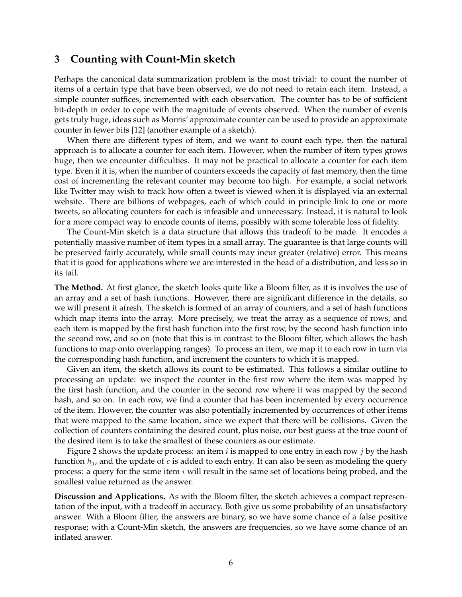### **3 Counting with Count-Min sketch**

Perhaps the canonical data summarization problem is the most trivial: to count the number of items of a certain type that have been observed, we do not need to retain each item. Instead, a simple counter suffices, incremented with each observation. The counter has to be of sufficient bit-depth in order to cope with the magnitude of events observed. When the number of events gets truly huge, ideas such as Morris' approximate counter can be used to provide an approximate counter in fewer bits [12] (another example of a sketch).

When there are different types of item, and we want to count each type, then the natural approach is to allocate a counter for each item. However, when the number of item types grows huge, then we encounter difficulties. It may not be practical to allocate a counter for each item type. Even if it is, when the number of counters exceeds the capacity of fast memory, then the time cost of incrementing the relevant counter may become too high. For example, a social network like Twitter may wish to track how often a tweet is viewed when it is displayed via an external website. There are billions of webpages, each of which could in principle link to one or more tweets, so allocating counters for each is infeasible and unnecessary. Instead, it is natural to look for a more compact way to encode counts of items, possibly with some tolerable loss of fidelity.

The Count-Min sketch is a data structure that allows this tradeoff to be made. It encodes a potentially massive number of item types in a small array. The guarantee is that large counts will be preserved fairly accurately, while small counts may incur greater (relative) error. This means that it is good for applications where we are interested in the head of a distribution, and less so in its tail.

**The Method.** At first glance, the sketch looks quite like a Bloom filter, as it is involves the use of an array and a set of hash functions. However, there are significant difference in the details, so we will present it afresh. The sketch is formed of an array of counters, and a set of hash functions which map items into the array. More precisely, we treat the array as a sequence of rows, and each item is mapped by the first hash function into the first row, by the second hash function into the second row, and so on (note that this is in contrast to the Bloom filter, which allows the hash functions to map onto overlapping ranges). To process an item, we map it to each row in turn via the corresponding hash function, and increment the counters to which it is mapped.

Given an item, the sketch allows its count to be estimated. This follows a similar outline to processing an update: we inspect the counter in the first row where the item was mapped by the first hash function, and the counter in the second row where it was mapped by the second hash, and so on. In each row, we find a counter that has been incremented by every occurrence of the item. However, the counter was also potentially incremented by occurrences of other items that were mapped to the same location, since we expect that there will be collisions. Given the collection of counters containing the desired count, plus noise, our best guess at the true count of the desired item is to take the smallest of these counters as our estimate.

Figure 2 shows the update process: an item  $i$  is mapped to one entry in each row  $j$  by the hash function  $h_j$ , and the update of c is added to each entry. It can also be seen as modeling the query process: a query for the same item i will result in the same set of locations being probed, and the smallest value returned as the answer.

**Discussion and Applications.** As with the Bloom filter, the sketch achieves a compact representation of the input, with a tradeoff in accuracy. Both give us some probability of an unsatisfactory answer. With a Bloom filter, the answers are binary, so we have some chance of a false positive response; with a Count-Min sketch, the answers are frequencies, so we have some chance of an inflated answer.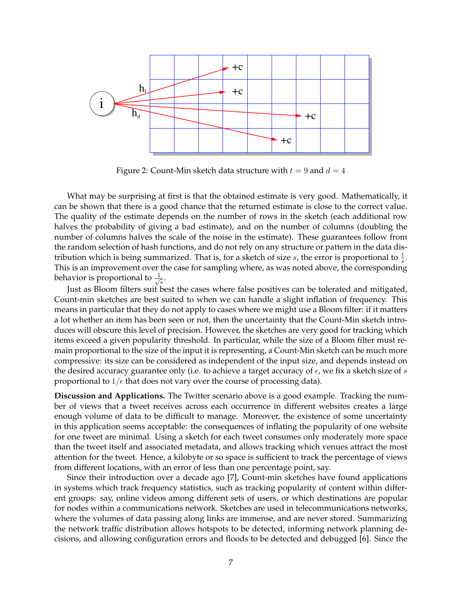

Figure 2: Count-Min sketch data structure with  $t = 9$  and  $d = 4$ 

What may be surprising at first is that the obtained estimate is very good. Mathematically, it can be shown that there is a good chance that the returned estimate is close to the correct value. The quality of the estimate depends on the number of rows in the sketch (each additional row halves the probability of giving a bad estimate), and on the number of columns (doubling the number of columns halves the scale of the noise in the estimate). These guarantees follow from the random selection of hash functions, and do not rely on any structure or pattern in the data distribution which is being summarized. That is, for a sketch of size  $s$ , the error is proportional to  $\frac{1}{s}$ . This is an improvement over the case for sampling where, as was noted above, the corresponding behavior is proportional to  $\frac{1}{\sqrt{2}}$  $\frac{1}{s}$ .

Just as Bloom filters suit best the cases where false positives can be tolerated and mitigated, Count-min sketches are best suited to when we can handle a slight inflation of frequency. This means in particular that they do not apply to cases where we might use a Bloom filter: if it matters a lot whether an item has been seen or not, then the uncertainty that the Count-Min sketch introduces will obscure this level of precision. However, the sketches are very good for tracking which items exceed a given popularity threshold. In particular, while the size of a Bloom filter must remain proportional to the size of the input it is representing, a Count-Min sketch can be much more compressive: its size can be considered as independent of the input size, and depends instead on the desired accuracy guarantee only (i.e. to achieve a target accuracy of  $\epsilon$ , we fix a sketch size of s proportional to  $1/\epsilon$  that does not vary over the course of processing data).

**Discussion and Applications.** The Twitter scenario above is a good example. Tracking the number of views that a tweet receives across each occurrence in different websites creates a large enough volume of data to be difficult to manage. Moreover, the existence of some uncertainty in this application seems acceptable: the consequences of inflating the popularity of one website for one tweet are minimal. Using a sketch for each tweet consumes only moderately more space than the tweet itself and associated metadata, and allows tracking which venues attract the most attention for the tweet. Hence, a kilobyte or so space is sufficient to track the percentage of views from different locations, with an error of less than one percentage point, say.

Since their introduction over a decade ago [7], Count-min sketches have found applications in systems which track frequency statistics, such as tracking popularity of content within different groups: say, online videos among different sets of users, or which destinations are popular for nodes within a communications network. Sketches are used in telecommunications networks, where the volumes of data passing along links are immense, and are never stored. Summarizing the network traffic distribution allows hotspots to be detected, informing network planning decisions, and allowing configuration errors and floods to be detected and debugged [6]. Since the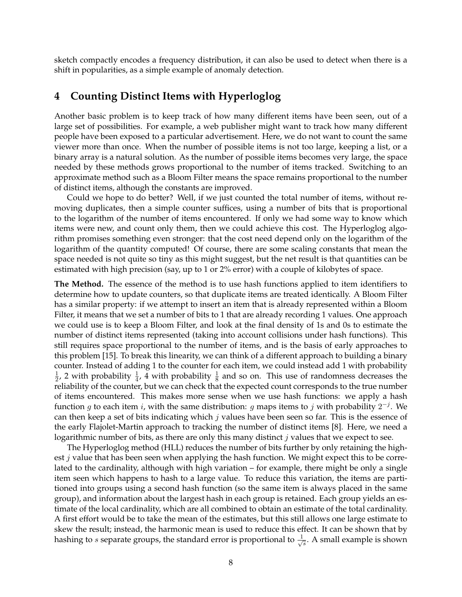sketch compactly encodes a frequency distribution, it can also be used to detect when there is a shift in popularities, as a simple example of anomaly detection.

### **4 Counting Distinct Items with Hyperloglog**

Another basic problem is to keep track of how many different items have been seen, out of a large set of possibilities. For example, a web publisher might want to track how many different people have been exposed to a particular advertisement. Here, we do not want to count the same viewer more than once. When the number of possible items is not too large, keeping a list, or a binary array is a natural solution. As the number of possible items becomes very large, the space needed by these methods grows proportional to the number of items tracked. Switching to an approximate method such as a Bloom Filter means the space remains proportional to the number of distinct items, although the constants are improved.

Could we hope to do better? Well, if we just counted the total number of items, without removing duplicates, then a simple counter suffices, using a number of bits that is proportional to the logarithm of the number of items encountered. If only we had some way to know which items were new, and count only them, then we could achieve this cost. The Hyperloglog algorithm promises something even stronger: that the cost need depend only on the logarithm of the logarithm of the quantity computed! Of course, there are some scaling constants that mean the space needed is not quite so tiny as this might suggest, but the net result is that quantities can be estimated with high precision (say, up to 1 or 2% error) with a couple of kilobytes of space.

**The Method.** The essence of the method is to use hash functions applied to item identifiers to determine how to update counters, so that duplicate items are treated identically. A Bloom Filter has a similar property: if we attempt to insert an item that is already represented within a Bloom Filter, it means that we set a number of bits to 1 that are already recording 1 values. One approach we could use is to keep a Bloom Filter, and look at the final density of 1s and 0s to estimate the number of distinct items represented (taking into account collisions under hash functions). This still requires space proportional to the number of items, and is the basis of early approaches to this problem [15]. To break this linearity, we can think of a different approach to building a binary counter. Instead of adding 1 to the counter for each item, we could instead add 1 with probability 1  $\frac{1}{2}$ , 2 with probability  $\frac{1}{4}$ , 4 with probability  $\frac{1}{8}$  and so on. This use of randomness decreases the reliability of the counter, but we can check that the expected count corresponds to the true number of items encountered. This makes more sense when we use hash functions: we apply a hash function g to each item i, with the same distribution: g maps items to j with probability  $2^{-j}$ . We can then keep a set of bits indicating which  $j$  values have been seen so far. This is the essence of the early Flajolet-Martin approach to tracking the number of distinct items [8]. Here, we need a logarithmic number of bits, as there are only this many distinct  $j$  values that we expect to see.

The Hyperloglog method (HLL) reduces the number of bits further by only retaining the highest *j* value that has been seen when applying the hash function. We might expect this to be correlated to the cardinality, although with high variation – for example, there might be only a single item seen which happens to hash to a large value. To reduce this variation, the items are partitioned into groups using a second hash function (so the same item is always placed in the same group), and information about the largest hash in each group is retained. Each group yields an estimate of the local cardinality, which are all combined to obtain an estimate of the total cardinality. A first effort would be to take the mean of the estimates, but this still allows one large estimate to skew the result; instead, the harmonic mean is used to reduce this effect. It can be shown that by hashing to s separate groups, the standard error is proportional to  $\frac{1}{\sqrt{2}}$  $\frac{1}{s}$ . A small example is shown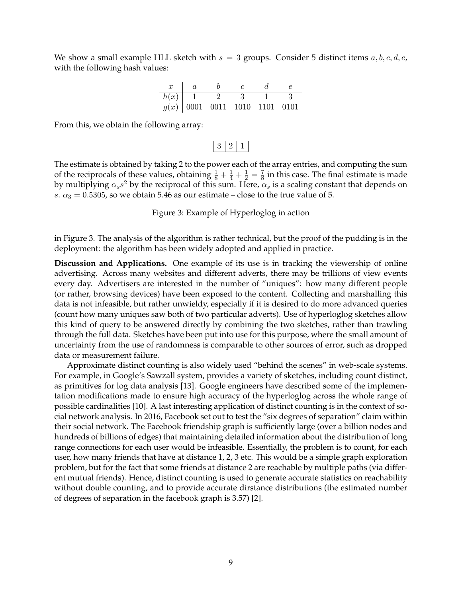We show a small example HLL sketch with  $s = 3$  groups. Consider 5 distinct items  $a, b, c, d, e$ , with the following hash values:

| h(x) |  |                                 |  |
|------|--|---------------------------------|--|
|      |  | $g(x)$ 0001 0011 1010 1101 0101 |  |

From this, we obtain the following array:

 $3 | 2 | 1 |$ 

The estimate is obtained by taking 2 to the power each of the array entries, and computing the sum of the reciprocals of these values, obtaining  $\frac{1}{8} + \frac{1}{4} + \frac{1}{2} = \frac{7}{8}$  $\frac{1}{8}$  in this case. The final estimate is made by multiplying  $\alpha_s s^2$  by the reciprocal of this sum. Here,  $\alpha_s$  is a scaling constant that depends on s.  $\alpha_3 = 0.5305$ , so we obtain 5.46 as our estimate – close to the true value of 5.

Figure 3: Example of Hyperloglog in action

in Figure 3. The analysis of the algorithm is rather technical, but the proof of the pudding is in the deployment: the algorithm has been widely adopted and applied in practice.

**Discussion and Applications.** One example of its use is in tracking the viewership of online advertising. Across many websites and different adverts, there may be trillions of view events every day. Advertisers are interested in the number of "uniques": how many different people (or rather, browsing devices) have been exposed to the content. Collecting and marshalling this data is not infeasible, but rather unwieldy, especially if it is desired to do more advanced queries (count how many uniques saw both of two particular adverts). Use of hyperloglog sketches allow this kind of query to be answered directly by combining the two sketches, rather than trawling through the full data. Sketches have been put into use for this purpose, where the small amount of uncertainty from the use of randomness is comparable to other sources of error, such as dropped data or measurement failure.

Approximate distinct counting is also widely used "behind the scenes" in web-scale systems. For example, in Google's Sawzall system, provides a variety of sketches, including count distinct, as primitives for log data analysis [13]. Google engineers have described some of the implementation modifications made to ensure high accuracy of the hyperloglog across the whole range of possible cardinalities [10]. A last interesting application of distinct counting is in the context of social network analysis. In 2016, Facebook set out to test the "six degrees of separation" claim within their social network. The Facebook friendship graph is sufficiently large (over a billion nodes and hundreds of billions of edges) that maintaining detailed information about the distribution of long range connections for each user would be infeasible. Essentially, the problem is to count, for each user, how many friends that have at distance 1, 2, 3 etc. This would be a simple graph exploration problem, but for the fact that some friends at distance 2 are reachable by multiple paths (via different mutual friends). Hence, distinct counting is used to generate accurate statistics on reachability without double counting, and to provide accurate dirstance distributions (the estimated number of degrees of separation in the facebook graph is 3.57) [2].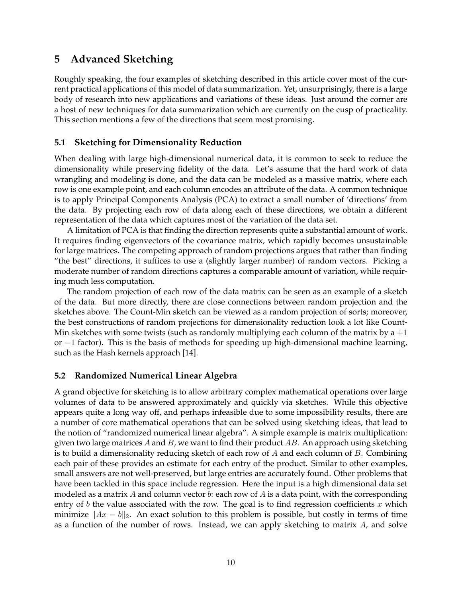## **5 Advanced Sketching**

Roughly speaking, the four examples of sketching described in this article cover most of the current practical applications of this model of data summarization. Yet, unsurprisingly, there is a large body of research into new applications and variations of these ideas. Just around the corner are a host of new techniques for data summarization which are currently on the cusp of practicality. This section mentions a few of the directions that seem most promising.

#### **5.1 Sketching for Dimensionality Reduction**

When dealing with large high-dimensional numerical data, it is common to seek to reduce the dimensionality while preserving fidelity of the data. Let's assume that the hard work of data wrangling and modeling is done, and the data can be modeled as a massive matrix, where each row is one example point, and each column encodes an attribute of the data. A common technique is to apply Principal Components Analysis (PCA) to extract a small number of 'directions' from the data. By projecting each row of data along each of these directions, we obtain a different representation of the data which captures most of the variation of the data set.

A limitation of PCA is that finding the direction represents quite a substantial amount of work. It requires finding eigenvectors of the covariance matrix, which rapidly becomes unsustainable for large matrices. The competing approach of random projections argues that rather than finding "the best" directions, it suffices to use a (slightly larger number) of random vectors. Picking a moderate number of random directions captures a comparable amount of variation, while requiring much less computation.

The random projection of each row of the data matrix can be seen as an example of a sketch of the data. But more directly, there are close connections between random projection and the sketches above. The Count-Min sketch can be viewed as a random projection of sorts; moreover, the best constructions of random projections for dimensionality reduction look a lot like Count-Min sketches with some twists (such as randomly multiplying each column of the matrix by a  $+1$ or −1 factor). This is the basis of methods for speeding up high-dimensional machine learning, such as the Hash kernels approach [14].

#### **5.2 Randomized Numerical Linear Algebra**

A grand objective for sketching is to allow arbitrary complex mathematical operations over large volumes of data to be answered approximately and quickly via sketches. While this objective appears quite a long way off, and perhaps infeasible due to some impossibility results, there are a number of core mathematical operations that can be solved using sketching ideas, that lead to the notion of "randomized numerical linear algebra". A simple example is matrix multiplication: given two large matrices  $A$  and  $B$ , we want to find their product  $AB$ . An approach using sketching is to build a dimensionality reducing sketch of each row of  $A$  and each column of  $B$ . Combining each pair of these provides an estimate for each entry of the product. Similar to other examples, small answers are not well-preserved, but large entries are accurately found. Other problems that have been tackled in this space include regression. Here the input is a high dimensional data set modeled as a matrix A and column vector  $b$ : each row of A is a data point, with the corresponding entry of  $b$  the value associated with the row. The goal is to find regression coefficients  $x$  which minimize  $||Ax - b||_2$ . An exact solution to this problem is possible, but costly in terms of time as a function of the number of rows. Instead, we can apply sketching to matrix  $A$ , and solve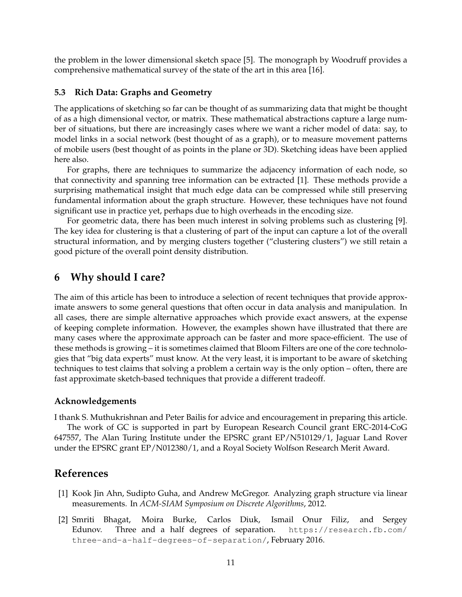the problem in the lower dimensional sketch space [5]. The monograph by Woodruff provides a comprehensive mathematical survey of the state of the art in this area [16].

#### **5.3 Rich Data: Graphs and Geometry**

The applications of sketching so far can be thought of as summarizing data that might be thought of as a high dimensional vector, or matrix. These mathematical abstractions capture a large number of situations, but there are increasingly cases where we want a richer model of data: say, to model links in a social network (best thought of as a graph), or to measure movement patterns of mobile users (best thought of as points in the plane or 3D). Sketching ideas have been applied here also.

For graphs, there are techniques to summarize the adjacency information of each node, so that connectivity and spanning tree information can be extracted [1]. These methods provide a surprising mathematical insight that much edge data can be compressed while still preserving fundamental information about the graph structure. However, these techniques have not found significant use in practice yet, perhaps due to high overheads in the encoding size.

For geometric data, there has been much interest in solving problems such as clustering [9]. The key idea for clustering is that a clustering of part of the input can capture a lot of the overall structural information, and by merging clusters together ("clustering clusters") we still retain a good picture of the overall point density distribution.

### **6 Why should I care?**

The aim of this article has been to introduce a selection of recent techniques that provide approximate answers to some general questions that often occur in data analysis and manipulation. In all cases, there are simple alternative approaches which provide exact answers, at the expense of keeping complete information. However, the examples shown have illustrated that there are many cases where the approximate approach can be faster and more space-efficient. The use of these methods is growing – it is sometimes claimed that Bloom Filters are one of the core technologies that "big data experts" must know. At the very least, it is important to be aware of sketching techniques to test claims that solving a problem a certain way is the only option – often, there are fast approximate sketch-based techniques that provide a different tradeoff.

#### **Acknowledgements**

I thank S. Muthukrishnan and Peter Bailis for advice and encouragement in preparing this article.

The work of GC is supported in part by European Research Council grant ERC-2014-CoG 647557, The Alan Turing Institute under the EPSRC grant EP/N510129/1, Jaguar Land Rover under the EPSRC grant EP/N012380/1, and a Royal Society Wolfson Research Merit Award.

### **References**

- [1] Kook Jin Ahn, Sudipto Guha, and Andrew McGregor. Analyzing graph structure via linear measurements. In *ACM-SIAM Symposium on Discrete Algorithms*, 2012.
- [2] Smriti Bhagat, Moira Burke, Carlos Diuk, Ismail Onur Filiz, and Sergey Edunov. Three and a half degrees of separation. https://research.fb.com/ three-and-a-half-degrees-of-separation/, February 2016.